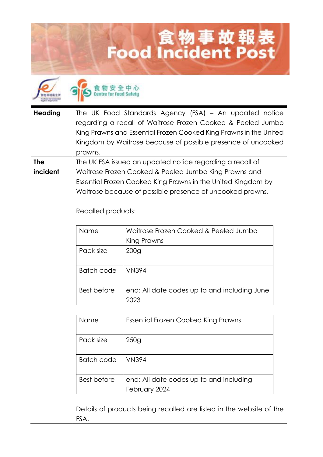## **Lood Incident Post**



食物安全中心<br>Centre for food Safety

| <b>Heading</b> |                                                                                 | The UK Food Standards Agency (FSA) - An updated notice              |  |
|----------------|---------------------------------------------------------------------------------|---------------------------------------------------------------------|--|
|                | regarding a recall of Waitrose Frozen Cooked & Peeled Jumbo                     |                                                                     |  |
|                |                                                                                 | King Prawns and Essential Frozen Cooked King Prawns in the United   |  |
|                |                                                                                 | Kingdom by Waitrose because of possible presence of uncooked        |  |
|                | prawns.                                                                         |                                                                     |  |
| <b>The</b>     | The UK FSA issued an updated notice regarding a recall of                       |                                                                     |  |
| incident       | Waitrose Frozen Cooked & Peeled Jumbo King Prawns and                           |                                                                     |  |
|                | Essential Frozen Cooked King Prawns in the United Kingdom by                    |                                                                     |  |
|                | Waitrose because of possible presence of uncooked prawns.<br>Recalled products: |                                                                     |  |
|                |                                                                                 |                                                                     |  |
|                | Name                                                                            | Waitrose Frozen Cooked & Peeled Jumbo                               |  |
|                |                                                                                 | King Prawns                                                         |  |
|                | Pack size                                                                       | 200 <sub>g</sub>                                                    |  |
|                | <b>Batch code</b>                                                               | <b>VN394</b>                                                        |  |
|                | <b>Best before</b>                                                              | end: All date codes up to and including June<br>2023                |  |
|                | Name                                                                            | <b>Essential Frozen Cooked King Prawns</b>                          |  |
|                | Pack size                                                                       | 250g                                                                |  |
|                | <b>Batch code</b>                                                               | <b>VN394</b>                                                        |  |
|                | <b>Best before</b>                                                              | end: All date codes up to and including<br>February 2024            |  |
|                | FSA.                                                                            | Details of products being recalled are listed in the website of the |  |